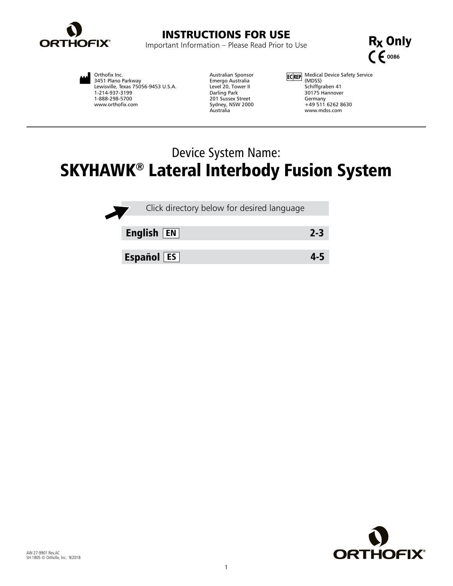

# INSTRUCTIONS FOR USE

Important Information – Please Read Prior to Use



Orthofix Inc. 3451 Plano Parkway Lewisville, Texas 75056-9453 U.S.A. 1-214-937-3199 1-888-298-5700 www.orthofix.com

Australian Sponsor Emergo Australia Level 20, Tower II Darling Park 201 Sussex Street Sydney, NSW 2000 Australia

Medical Device Safety Service (MDSS) Schiffgraben 41 30175 Hannover Germany +49 511 6262 8630 www.mdss.com

# Device System Name: SKYHAWK® Lateral Interbody Fusion System



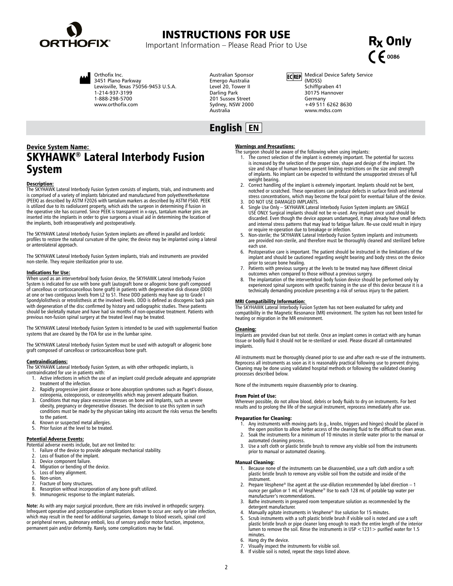<span id="page-1-0"></span>

# INSTRUCTIONS FOR USE

Important Information – Please Read Prior to Use

 $R<sub>x</sub>$  Only C  $60086$ 



Orthofix Inc. 3451 Plano Parkway Lewisville, Texas 75056-9453 U.S.A. 1-214-937-3199 1-888-298-5700 www.orthofix.com

Australian Sponsor Emergo Australia Level 20, Tower II Darling Park 201 Sussex Street Sydney, NSW 2000 Australia

ECREP Medical Device Safety Service (MDSS) Schiffgraben 41 30175 Hannover Germany +49 511 6262 8630 www.mdss.com

## English EN

## Device System Name: SKYHAWK® Lateral Interbody Fusion System

### Description:

The SKYHAWK Lateral Interbody Fusion System consists of implants, trials, and instruments and is comprised of a variety of implants fabricated and manufactured from polyetheretherketone (PEEK) as described by ASTM F2026 with tantalum markers as described by ASTM F560. PEEK is utilized due to its radiolucent property, which aids the surgeon in determining if fusion in<br>the operative site has occurred. Since PEEK is transparent in x-rays, tantalum marker pins are<br>inserted into the implants in o the implants, both intraoperatively and postoperatively.

The SKYHAWK Lateral Interbody Fusion System implants are offered in parallel and lordotic profiles to restore the natural curvature of the spine; the device may be implanted using a lateral or anterolateral approach.

The SKYHAWK Lateral Interbody Fusion System implants, trials and instruments are provided non-sterile. They require sterilization prior to use.

## Indications for Use:

When used as an intervertebral body fusion device, the SKYHAWK Lateral Interbody Fusion<br>System is indicated for use with bone graft (autograft bone or allogenic bone graft composed<br>of cancellous or corticocancellous bone g at one or two contiguous levels from L2 to S1. These DDD patients may have up to Grade I Spondylolisthesis or retrolisthesis at the involved levels. DDD is defined as discogenic back pain with degeneration of the disc confirmed by history and radiographic studies. These patients should be skeletally mature and have had six months of non-operative treatment. Patients with previous non-fusion spinal surgery at the treated level may be treated.

The SKYHAWK Lateral Interbody Fusion System is intended to be used with supplemental fixation systems that are cleared by the FDA for use in the lumbar spine.

The SKYHAWK Lateral Interbody Fusion System must be used with autograft or allogenic bone graft composed of cancellous or corticocancellous bone graft.

**Contraindications:**<br>The SKYHAWK Lateral Interbody Fusion System, as with other orthopedic implants, is

contraindicated for use in patients with:

- 1. Active infections in which the use of an implant could preclude adequate and appropriate treatment of the infection.
- 2. Rapidly progressive joint disease or bone absorption syndromes such as Paget's disease, osteopenia, osteoporosis, or osteomyelitis which may prevent adequate fixation.
- 3. Conditions that may place excessive stresses on bone and implants, such as severe obesity, pregnancy or degenerative diseases. The decision to use this system in such conditions must be made by the physician taking into account the risks versus the benefits to the patient.
- 4. Known or suspected metal allergies.
- 5. Prior fusion at the level to be treated.

### Potential Adverse Events:

- Potential adverse events include, but are not limited to:
- 1. Failure of the device to provide adequate mechanical stability.
- 2. Loss of fixation of the implant.
- 3. Device component failure.<br>4. Migration or bending of the
- 4. Migration or bending of the device.<br>5. Loss of bony alignment. Loss of bony alignment.
- 
- 6. Non-union. Fracture of bony structures.
- 8. Resorption without incorporation of any bone graft utilized.<br>9. Immunogenic response to the implant materials
- Immunogenic response to the implant materials.

**Note:** As with any major surgical procedure, there are risks involved in orthopedic surgery. Infrequent operative and postoperative complications known to occur are: early or late infection, which may result in the need for additional surgeries, damage to blood vessels, spinal cord or peripheral nerves, pulmonary emboli, loss of sensory and/or motor function, impotence, permanent pain and/or deformity. Rarely, some complications may be fatal.

### Warnings and Precautions:

- The surgeon should be aware of the following when using implants: 1. The correct selection of the implant is extremely important. The potential for success is increased by the selection of the proper size, shape and design of the implant. The size and shape of human bones present limiting restrictions on the size and strength of implants. No implant can be expected to withstand the unsupported stresses of full weight bearing.
- 2. Correct handling of the implant is extremely important. Implants should not be bent, notched or scratched. These operations can produce defects in surface finish and internal stress concentrations, which may become the focal point for eventual failure of the device. 3. DO NOT USE DAMAGED IMPLANTS.
- 4. Single Use Only SKYHAWK Lateral Interbody Fusion System implants are SINGLE USE ONLY. Surgical implants should not be re-used. Any implant once used should be discarded. Even though the device appears undamaged, it may already have small defects and internal stress patterns that may lead to fatigue failure. Re-use could result in injury
- or require re-operation due to breakage or infection.<br>5. Non-sterile; the SKYHAWK Lateral Interbody Fusion System implants and instruments<br>are provided non-sterile, and therefore must be thoroughly cleaned and sterilized each use.
- Postoperative care is important. The patient should be instructed in the limitations of the implant and should be cautioned regarding weight bearing and body stress on the device
- prior to secure bone healing. 7. Patients with previous surgery at the levels to be treated may have different clinical outcomes when compared to those without a previous surgery.
- The implantation of the intervertebral body fusion device should be performed only by experienced spinal surgeons with specific training in the use of this device because it is a technically demanding procedure presenting a risk of serious injury to the patient.

**MRI Compatibility Information:**<br>The SKYHAWK Lateral Interbody Fusion System has not been evaluated for safety and compatibility in the Magnetic Resonance (MR) environment. The system has not been tested for heating or migration in the MR environment.

### Cleaning:

Implants are provided clean but not sterile. Once an implant comes in contact with any human tissue or bodily fluid it should not be re-sterilized or used. Please discard all contaminated implants.

All instruments must be thoroughly cleaned prior to use and after each re-use of the instruments. Reprocess all instruments as soon as it is reasonably practical following use to prevent drying. Cleaning may be done using validated hospital methods or following the validated cleaning processes described below.

None of the instruments require disassembly prior to cleaning.

### From Point of Use:

Wherever possible, do not allow blood, debris or body fluids to dry on instruments. For best results and to prolong the life of the surgical instrument, reprocess immediately after use.

### Preparation for Cleaning:

- 1. Any instruments with moving parts (e.g., knobs, triggers and hinges) should be placed in the open position to allow better access of the cleaning fluid to the difficult to clean areas.
- 2. Soak the instruments for a minimum of 10 minutes in sterile water prior to the manual or
- automated cleaning process. 3. Use a soft cloth or plastic bristle brush to remove any visible soil from the instruments prior to manual or automated cleaning.

### Manual Cleaning:

- 1. Because none of the instruments can be disassembled, use a soft cloth and/or a soft plastic bristle brush to remove any visible soil from the outside and inside of the instrument.
- 2. Prepare Vesphene<sup>®</sup> IIse agent at the use-dilution recommended by label direction  $-1$ ounce per gallon or 1 mL of Vesphene® IIse to each 128 mL of potable tap water per manufacturer's recommendations.
- 3. Bathe instruments in prepared room temperature solution as recommended by the detergent manufacturer.
- 
- 4. Manually agitate instruments in Vesphene® IIse solution for 15 minutes. 5. Scrub instruments with a soft plastic bristle brush if visible soil is noted and use a soft plastic bristle brush or pipe cleaner long enough to reach the entire length of the interior lumen to remove the soil. Rinse the instruments in USP <1231> purified water for 1.5 minutes.
- 6. Hang dry the device.
- 7. Visually inspect the instruments for visible soil.
- If visible soil is noted, repeat the steps listed above.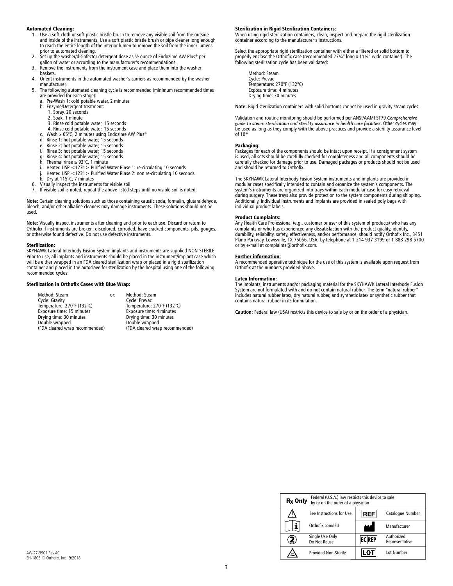### Automated Cleaning:

- 1. Use a soft cloth or soft plastic bristle brush to remove any visible soil from the outside and inside of the instruments. Use a soft plastic bristle brush or pipe cleaner long enough to reach the entire length of the interior lumen to remove the soil from the inner lumens prior to automated cleaning. 2. Set up the washer/disinfector detergent dose as ½ ounce of Endozime AW Plus® per
- 
- gallon of water or according to the manufacturer's recommendations. 3. Remove the instruments from the instrument case and place them into the washer
- baskets.
- 4. Orient instruments in the automated washer's carriers as recommended by the washer manufacturer.
- 5. The following automated cleaning cycle is recommended (minimum recommended times are provided for each stage):<br>a Pre-Wash 1: cold potable
	- Pre-Wash 1: cold potable water, 2 minutes
	- b. Enzyme/Detergent treatment: 1. Spray, 20 seconds 2. Soak, 1 minute
		-
		-
		- 3. Rinse cold potable water, 15 seconds 4. Rinse cold potable water, 15 seconds
	- c. Wash ≥ 65°C, 2 minutes using Endozime AW Plus®
	- d. Rinse 1: hot potable water, 15 seconds
	-
	- e. Rinse 2: hot potable water, 15 seconds f. Rinse 3: hot potable water, 15 seconds
	- g. Rinse 4: hot potable water, 15 seconds<br>h. Thermal rinse  $\geq 93^{\circ}$ C, 1 minute
	- Thermal rinse  $\geq 93^{\circ}$ C, 1 minute
	- i. Heated USP <1231> Purified Water Rinse 1: re-circulating 10 seconds
- j. Heated USP <1231> Purified Water Rinse 2: non re-circulating 10 seconds k. Dry at 115°C, 7 minutes 6. Visually inspect the instruments for visible soil
	-
- 
- 7. If visible soil is noted, repeat the above listed steps until no visible soil is noted.

**Note:** Certain cleaning solutions such as those containing caustic soda, formalin, glutaraldehyde, bleach, and/or other alkaline cleaners may damage instruments. These solutions should not be used.

**Note:** Visually inspect instruments after cleaning and prior to each use. Discard or return to Orthofix if instruments are broken, discolored, corroded, have cracked components, pits, gouges, or otherwise found defective. Do not use defective instruments.

Sterilization:<br>SKYHAWK Lateral Interbody Fusion System implants and instruments are supplied NON-STERILE. Prior to use, all implants and instruments should be placed in the instrument/implant case which will be either wrapped in an FDA cleared sterilization wrap or placed in a rigid sterilization container and placed in the autoclave for sterilization by the hospital using one of the following recommended cycles:

### Sterilization in Orthofix Cases with Blue Wrap:

Method: Steam **1988 comes comes comes for the Method: Steam**<br>
Cycle: Gravity **Cycle: Prevac** Cycle: Gravity Cycle: Prevac<br>
Temperature: 270°F (132°C) Temperature: 270°F (132°C) Temperature: 270°F (132°C)<br>Exposure time: 15 minutes Fanger (132°C) Exposure time: 4 minutes Exposure time: 15 minutes Exposure time: 4 minutes<br>
Drying time: 30 minutes Drying time: 30 minutes Drying time: 30 minutes Drying time: 30 minutes Double wrapped Double wrapped<br>(FDA cleared wrap recommended) (FDA cleared wra

(FDA cleared wrap recommended) (FDA cleared wrap recommended)

### Sterilization in Rigid Sterilization Containers:

When using rigid sterilization containers, clean, inspect and prepare the rigid sterilization container according to the manufacturer's instructions.

Select the appropriate rigid sterilization container with either a filtered or solid bottom to properly enclose the Orthofix case (recommended 23¼" long x 11¼" wide container). The following sterilization cycle has been validated:

Method: Steam Cycle: Prevac Temperature: 270°F (132°C) Exposure time: 4 minutes Drying time: 30 minutes

**Note:** Rigid sterilization containers with solid bottoms cannot be used in gravity steam cycles.

Validation and routine monitoring should be performed per ANSI/AAMI ST79 *Comprehensive guide to steam sterilization and sterility assurance in health care facilities*. Other cycles may be used as long as they comply with the above practices and provide a sterility assurance level of 10-6.

### Packaging:

Packages for each of the components should be intact upon receipt. If a consignment system<br>is used, all sets should be carefully checked for completeness and all components should be<br>carefully checked for damage prior to u and should be returned to Orthofix.

The SKYHAWK Lateral Interbody Fusion System instruments and implants are provided in modular cases specifically intended to contain and organize the system's components. The system's instruments are organized into trays within each modular case for easy retrieval during surgery. These trays also provide protection to the system components during shipping. Additionally, individual instruments and implants are provided in sealed poly bags with individual product labels.

**<u>Product Complaints:</u>**<br>Any Health Care Professional (e.g., customer or user of this system of products) who has any complaints or who has experienced any dissatisfaction with the product quality, identity, durability, reliability, safety, effectiveness, and/or performance, should notify Orthofix Inc., 3451 Plano Parkway, Lewisville, TX 75056, USA, by telephone at 1-214-937-3199 or 1-888-298-5700 or by e-mail at complaints@orthofix.com.

### Further information:

A recommended operative technique for the use of this system is available upon request from Orthofix at the numbers provided above.

### Latex Information:

The implants, instruments and/or packaging material for the SKYHAWK Lateral Interbody Fusion System are not formulated with and do not contain natural rubber. The term "natural rubber" includes natural rubber latex, dry natural rubber, and synthetic latex or synthetic rubber that contains natural rubber in its formulation.

**Caution:** Federal law (USA) restricts this device to sale by or on the order of a physician.

| $Rx$ Only | Federal (U.S.A.) law restricts this device to sale<br>by or on the order of a physician |              |                              |  |
|-----------|-----------------------------------------------------------------------------------------|--------------|------------------------------|--|
|           | See Instructions for Use                                                                | <b>REF</b>   | Catalogue Number             |  |
|           | Orthofix.com/IFU                                                                        |              | Manufacturer                 |  |
|           | Single Use Only<br>Do Not Reuse                                                         | <b>ECREP</b> | Authorized<br>Representative |  |
| NOV       | <b>Provided Non-Sterile</b>                                                             |              | Lot Number                   |  |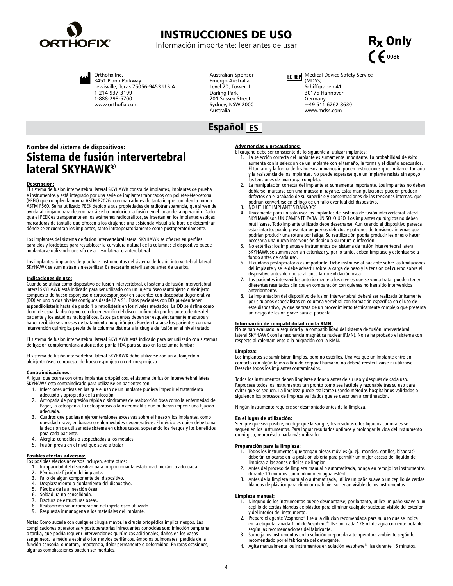<span id="page-3-0"></span>

## INSTRUCCIONES DE USO

Información importante: leer antes de usar





Orthofix Inc. 3451 Plano Parkway Lewisville, Texas 75056-9453 U.S.A. 1-214-937-3199 1-888-298-5700 www.orthofix.com

Australian Sponsor Emergo Australia Level 20, Tower II Darling Park 201 Sussex Street Sydney, NSW 2000 Australia

ECREP Medical Device Safety Service (MDSS) Schiffgraben 41 30175 Hannover Germany +49 511 6262 8630 www.mdss.com

## Español ES

## **Nombre del sistema de dispositivos:** Sistema de fusión intervertebral lateral SKYHAWK®

**Descripción:**<br>El sistema de fusión intervertebral lateral SKYHAWK consta de implantes, implantes de prueba e instrumentos y está integrado por una serie de implantes fabricados con poliéter-éter-cetona (PEEK) que cumplen la norma ASTM F2026, con marcadores de tantalio que cumplen la norma ASTM F560. Se ha utilizado PEEK debido a sus propiedades de radiotransparencia, que sirven de<br>ayuda al cirujano para determinar si se ha producido la fusión en el lugar de la operación. Dado<br>que el PEEK es transparente en marcadoras de tantalio que ofrecen a los cirujanos una asistencia visual a la hora de determinar dónde se encuentran los implantes, tanto intraoperatoriamente como postoperatoriamente.

Los implantes del sistema de fusión intervertebral lateral SKYHAWK se ofrecen en perfiles paralelos y lordóticos para restablecer la curvatura natural de la columna; el dispositivo puede implantarse utilizando una vía de acceso lateral o anterolateral.

Los implantes, implantes de prueba e instrumentos del sistema de fusión intervertebral lateral SKYHAWK se suministran sin esterilizar. Es necesario esterilizarlos antes de usarlos.

### Indicaciones de uso:

Cuando se utiliza como dispositivo de fusión intervertebral, el sistema de fusión intervertebral lateral SKYHAWK está indicado para ser utilizado con un injerto óseo (autoinjerto o aloinjerto compuesto de hueso esponjoso o corticoesponjoso) en pacientes con discopatía degenerativa (DD) en uno o dos niveles contiguos desde L2 a S1. Estos pacientes con DD pueden tener espondilolistesis hasta de grado 1 o retrolistesis en los niveles afectados. La DD se define como dolor de espalda discógeno con degeneración del disco confirmada por los antecedentes del<br>paciente y los estudios radiográficos. Estos pacientes deben ser esqueléticamente maduros y<br>haber recibido seis meses de tratamiento intervención quirúrgica previa de la columna distinta a la cirugía de fusión en el nivel tratado.

El sistema de fusión intervertebral lateral SKYHAWK está indicado para ser utilizado con sistemas de fijación complementaria autorizados por la FDA para su uso en la columna lumbar.

El sistema de fusión intervertebral lateral SKYHAWK debe utilizarse con un autoinjerto o aloinjerto óseo compuesto de hueso esponjoso o corticoesponjoso.

### Contraindicaciones:

Al igual que ocurre con otros implantes ortopédicos, el sistema de fusión intervertebral lateral SKYHAWK está contraindicado para utilizarse en pacientes con:

- 1. Infecciones activas en las que el uso de un implante pudiera impedir el tratamiento adecuado y apropiado de la infección.
- 2. Artropatía de progresión rápida o síndromes de reabsorción ósea como la enfermedad de Paget, la osteopenia, la osteoporosis o la osteomielitis que pudieran impedir una fijación adecuada.
- 3. Cuadros que pudieran ejercer tensiones excesivas sobre el hueso y los implantes, como obesidad grave, embarazo o enfermedades degenerativas. El médico es quien debe tomar la decisión de utilizar este sistema en dichos casos, sopesando los riesgos y los beneficios para cada paciente.
- 4. Alergias conocidas o sospechadas a los metales.
- 5. Fusión previa en el nivel que se va a tratar.

- **Posibles efectos adversos:**<br>Los posibles efectos adversos incluyen, entre otros:
- ve se secundo del dispositivo para proporcionar la estabilidad mecánica adecuada.<br>1. Incapacidad del dispositivo para proporcionar la estabilidad mecánica adecuada.
- 2. Pérdida de fijación del implante.<br>3. Fallo de algún componente del c
- 3. Fallo de algún componente del dispositivo.<br>4. Desplazamiento o doblamiento del disposi
- Desplazamiento o doblamiento del dispositivo.
- 5. Pérdida de la alineación ósea.<br>6. Soldadura no consolidada.
- 6. Soldadura no consolidada.
- 7. Fractura de estructuras óseas.<br>8. Reabsorción sin incorporación
- 8. Reabsorción sin incorporación del injerto óseo utilizado. Respuesta inmunógena a los materiales del implante.

**Nota:** Como sucede con cualquier cirugía mayor, la cirugía ortopédica implica riesgos. Las complicaciones operatorias y postoperatorias infrecuentes conocidas son: infección temprana o tardía, que podría requerir intervenciones quirúrgicas adicionales, daños en los vasos sanguíneos, la médula espinal o los nervios periféricos, émbolos pulmonares, pérdida de la función sensorial o motora, impotencia, dolor permanente o deformidad. En raras ocasiones, algunas complicaciones pueden ser mortales.

## Advertencias y precauciones:

- El cirujano debe ser consciente de lo siguiente al utilizar implantes:
	- 1. La selección correcta del implante es sumamente importante. La probabilidad de éxito aumenta con la selección de un implante con el tamaño, la forma y el diseño adecuados. El tamaño y la forma de los huesos humanos imponen restricciones que limitan el tamaño y la resistencia de los implantes. No puede esperarse que un implante resista sin apoyo las tensiones de una carga completa.
- 2. La manipulación correcta del implante es sumamente importante. Los implantes no deben doblarse, marcarse con una muesca ni rayarse. Estas manipulaciones pueden producir defectos en el acabado de su superficie y concentraciones de las tensiones internas, que podrían convertirse en el foco de un fallo eventual del dispositivo.
- 3. NO UTILICE IMPLANTES DAÑADOS.
- 4. Únicamente para un solo uso: los implantes del sistema de fusión intervertebral lateral SKYHAWK son ÚNICAMENTE PARA UN SOLO USO. Los implantes quirúrgicos no deben reutilizarse. Todo implante utilizado debe desecharse. Aun cuando el dispositivo parezca estar intacto, puede presentar pequeños defectos y patrones de tensiones internas que<br>podrían producir una rotura por fatiga. Su reutilización podría producir lesiones o hacer<br>necesaria una nueva intervención debido a su r
- 5. No estériles; los implantes e instrumentos del sistema de fusión intervertebral lateral SKYHAWK se suministran sin esterilizar y, por lo tanto, deben limpiarse y esterilizarse a fondo antes de cada uso.
- 6. El cuidado postoperatorio es importante. Debe instruirse al paciente sobre las limitaciones del implante y se le debe advertir sobre la carga de peso y la tensión del cuerpo sobre el dispositivo antes de que se alcance la consolidación ósea.
- Los pacientes intervenidos anteriormente a los niveles que se van a tratar pueden tener diferentes resultados clínicos en comparación con quienes no han sido intervenidos anteriormente.
- La implantación del dispositivo de fusión intervertebral deberá ser realizada únicamente por cirujanos especialistas en columna vertebral con formación específica en el uso de este dispositivo, ya que se trata de un procedimiento técnicamente complejo que presenta un riesgo de lesión grave para el paciente.

### Información de compatibilidad con la RMN:

No se han evaluado la seguridad y la compatibilidad del sistema de fusión intervertebral lateral SKYHAWK con la resonancia magnética nuclear (RMN). No se ha probado el sistema con respecto al calentamiento o la migración con la RMN.

### Limpieza:

Los implantes se suministran limpios, pero no estériles. Una vez que un implante entre en contacto con algún tejido o líquido corporal humano, no deberá reesterilizarse ni utilizarse. Deseche todos los implantes contaminados.

Todos los instrumentos deben limpiarse a fondo antes de su uso y después de cada uso. Reprocese todos los instrumentos tan pronto como sea factible y razonable tras su uso para evitar que se sequen. La limpieza puede realizarse usando métodos hospitalarios validados o siguiendo los procesos de limpieza validados que se describen a continuación.

Ningún instrumento requiere ser desmontado antes de la limpieza.

## En el lugar de utilización:

Siempre que sea posible, no deje que la sangre, los residuos o los líquidos corporales se sequen en los instrumentos. Para lograr resultados óptimos y prolongar la vida del instrumento quirúrgico, reprocéselo nada más utilizarlo.

### Preparación para la limpieza:

- 1. Todos los instrumentos que tengan piezas móviles (p. ej., mandos, gatillos, bisagras) deberán colocarse en la posición abierta para permitir un mejor acceso del líquido de limpieza a las zonas difíciles de limpiar.
- 2. Antes del proceso de limpieza manual o automatizada, ponga en remojo los instrumentos durante 10 minutos como mínimo en agua estéril.
- 3. Antes de la limpieza manual o automatizada, utilice un paño suave o un cepillo de cerdas blandas de plástico para eliminar cualquier suciedad visible de los instrumentos.

### Limpieza manual:

- 1. Ninguno de los instrumentos puede desmontarse; por lo tanto, utilice un paño suave o un cepillo de cerdas blandas de plástico para eliminar cualquier suciedad visible del exterior y del interior del instrumento. 2. Prepare el agente Vesphene® IIse a la dilución recomendada para su uso que se indica
- en la etiqueta: añada 1 ml de Vesphene® IIse por cada 128 ml de agua corriente potable según las recomendaciones del fabricante.
- 3. Sumerja los instrumentos en la solución preparada a temperatura ambiente según lo recomendado por el fabricante del detergente.
- 4. Agite manualmente los instrumentos en solución Vesphene® IIse durante 15 minutos.